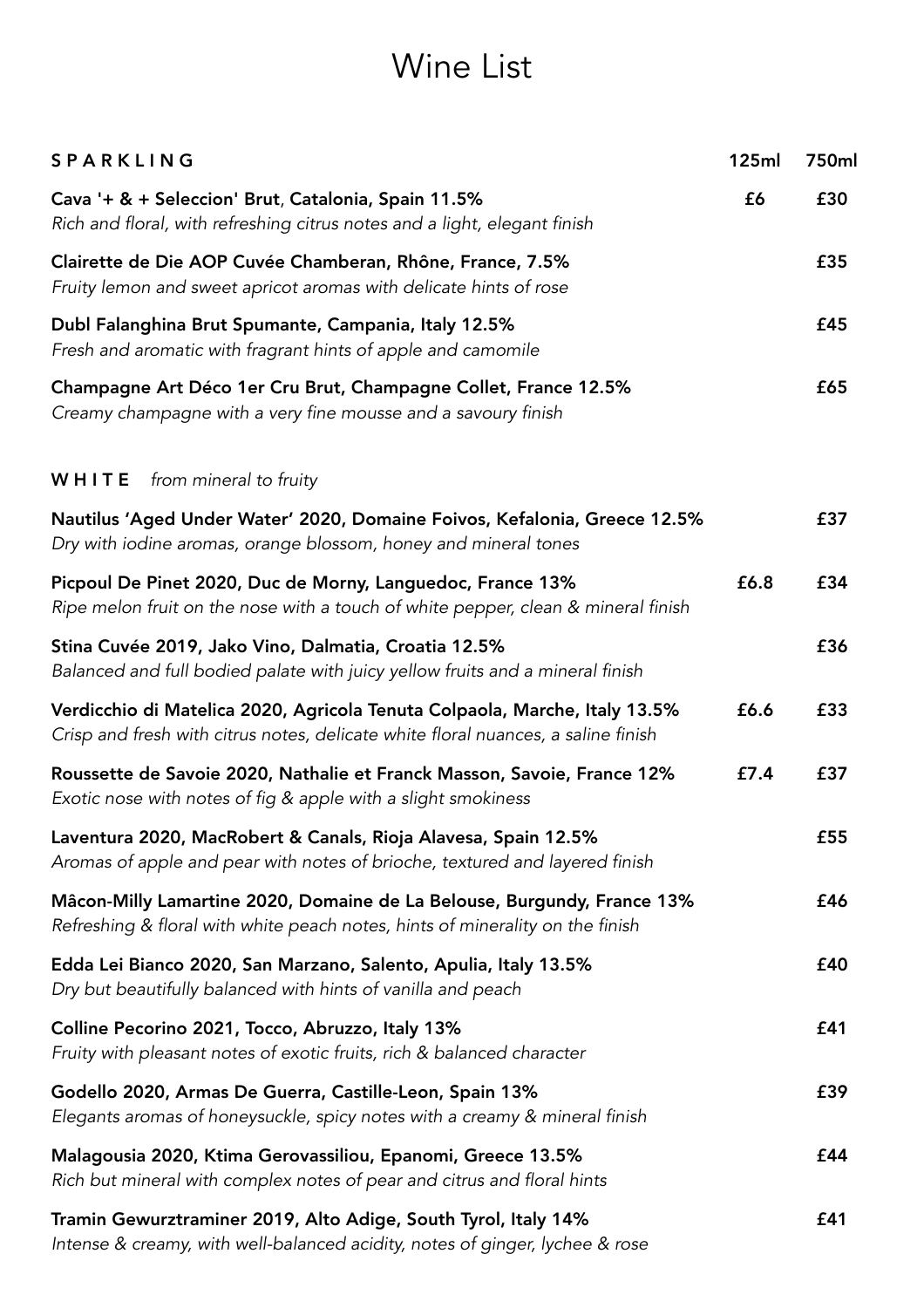## Wine List

| SPARKLING                                                                                                                                                       | 125ml | 750ml |
|-----------------------------------------------------------------------------------------------------------------------------------------------------------------|-------|-------|
| Cava '+ & + Seleccion' Brut, Catalonia, Spain 11.5%<br>Rich and floral, with refreshing citrus notes and a light, elegant finish                                | £6    | £30   |
| Clairette de Die AOP Cuvée Chamberan, Rhône, France, 7.5%<br>Fruity lemon and sweet apricot aromas with delicate hints of rose                                  |       | £35   |
| Dubl Falanghina Brut Spumante, Campania, Italy 12.5%<br>Fresh and aromatic with fragrant hints of apple and camomile                                            |       | £45   |
| Champagne Art Déco 1er Cru Brut, Champagne Collet, France 12.5%<br>Creamy champagne with a very fine mousse and a savoury finish                                |       | £65   |
| WHITE<br>from mineral to fruity                                                                                                                                 |       |       |
| Nautilus 'Aged Under Water' 2020, Domaine Foivos, Kefalonia, Greece 12.5%<br>Dry with iodine aromas, orange blossom, honey and mineral tones                    |       | £37   |
| Picpoul De Pinet 2020, Duc de Morny, Languedoc, France 13%<br>Ripe melon fruit on the nose with a touch of white pepper, clean & mineral finish                 | £6.8  | £34   |
| Stina Cuvée 2019, Jako Vino, Dalmatia, Croatia 12.5%<br>Balanced and full bodied palate with juicy yellow fruits and a mineral finish                           |       | £36   |
| Verdicchio di Matelica 2020, Agricola Tenuta Colpaola, Marche, Italy 13.5%<br>Crisp and fresh with citrus notes, delicate white floral nuances, a saline finish | £6.6  | £33   |
| Roussette de Savoie 2020, Nathalie et Franck Masson, Savoie, France 12%<br>Exotic nose with notes of fig & apple with a slight smokiness                        | £7.4  | £37   |
| Laventura 2020, MacRobert & Canals, Rioja Alavesa, Spain 12.5%<br>Aromas of apple and pear with notes of brioche, textured and layered finish                   |       | £55   |
| Mâcon-Milly Lamartine 2020, Domaine de La Belouse, Burgundy, France 13%<br>Refreshing & floral with white peach notes, hints of minerality on the finish        |       | £46   |
| Edda Lei Bianco 2020, San Marzano, Salento, Apulia, Italy 13.5%<br>Dry but beautifully balanced with hints of vanilla and peach                                 |       | £40   |
| Colline Pecorino 2021, Tocco, Abruzzo, Italy 13%<br>Fruity with pleasant notes of exotic fruits, rich & balanced character                                      |       | £41   |
| Godello 2020, Armas De Guerra, Castille-Leon, Spain 13%<br>Elegants aromas of honeysuckle, spicy notes with a creamy & mineral finish                           |       | £39   |
| Malagousia 2020, Ktima Gerovassiliou, Epanomi, Greece 13.5%<br>Rich but mineral with complex notes of pear and citrus and floral hints                          |       | £44   |
| Tramin Gewurztraminer 2019, Alto Adige, South Tyrol, Italy 14%<br>Intense & creamy, with well-balanced acidity, notes of ginger, lychee & rose                  |       | £41   |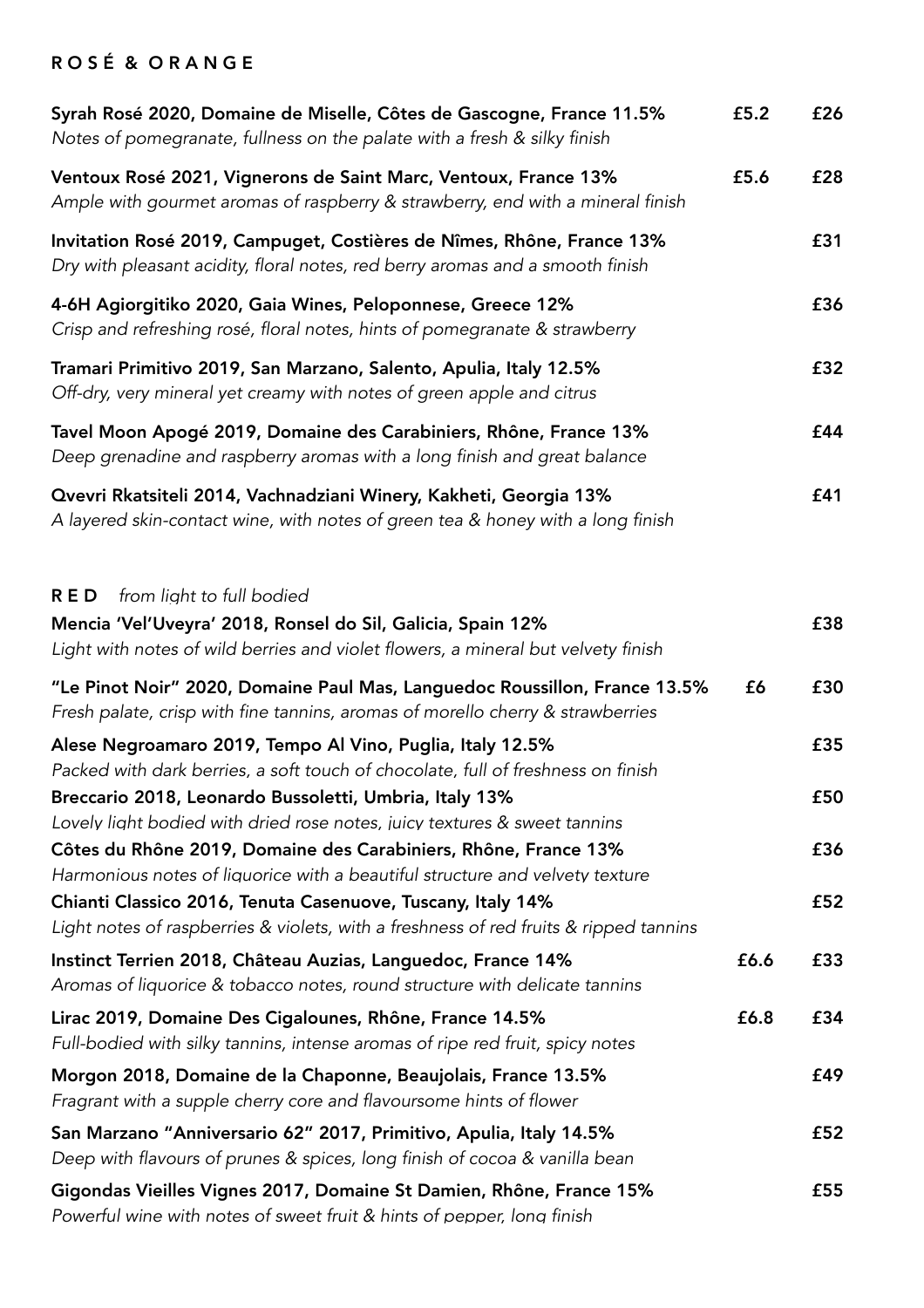## R O S É & O R A N G E

| Syrah Rosé 2020, Domaine de Miselle, Côtes de Gascogne, France 11.5%<br>Notes of pomegranate, fullness on the palate with a fresh & silky finish                                            | £5.2 | £26 |
|---------------------------------------------------------------------------------------------------------------------------------------------------------------------------------------------|------|-----|
| Ventoux Rosé 2021, Vignerons de Saint Marc, Ventoux, France 13%<br>Ample with gourmet aromas of raspberry & strawberry, end with a mineral finish                                           | £5.6 | £28 |
| Invitation Rosé 2019, Campuget, Costières de Nîmes, Rhône, France 13%<br>Dry with pleasant acidity, floral notes, red berry aromas and a smooth finish                                      |      | £31 |
| 4-6H Agiorgitiko 2020, Gaia Wines, Peloponnese, Greece 12%<br>Crisp and refreshing rosé, floral notes, hints of pomegranate & strawberry                                                    |      | £36 |
| Tramari Primitivo 2019, San Marzano, Salento, Apulia, Italy 12.5%<br>Off-dry, very mineral yet creamy with notes of green apple and citrus                                                  |      | £32 |
| Tavel Moon Apogé 2019, Domaine des Carabiniers, Rhône, France 13%<br>Deep grenadine and raspberry aromas with a long finish and great balance                                               |      | £44 |
| Qvevri Rkatsiteli 2014, Vachnadziani Winery, Kakheti, Georgia 13%<br>A layered skin-contact wine, with notes of green tea & honey with a long finish                                        |      | £41 |
| from light to full bodied<br><b>RED</b><br>Mencia 'Vel'Uveyra' 2018, Ronsel do Sil, Galicia, Spain 12%<br>Light with notes of wild berries and violet flowers, a mineral but velvety finish |      | £38 |
| "Le Pinot Noir" 2020, Domaine Paul Mas, Languedoc Roussillon, France 13.5%<br>Fresh palate, crisp with fine tannins, aromas of morello cherry & strawberries                                | £6   | £30 |
| Alese Negroamaro 2019, Tempo Al Vino, Puglia, Italy 12.5%<br>Packed with dark berries, a soft touch of chocolate, full of freshness on finish                                               |      | £35 |
| Breccario 2018, Leonardo Bussoletti, Umbria, Italy 13%<br>Lovely light bodied with dried rose notes, juicy textures & sweet tannins                                                         |      | £50 |
| Côtes du Rhône 2019, Domaine des Carabiniers, Rhône, France 13%<br>Harmonious notes of liquorice with a beautiful structure and velvety texture                                             |      | £36 |
| Chianti Classico 2016, Tenuta Casenuove, Tuscany, Italy 14%<br>Light notes of raspberries & violets, with a freshness of red fruits & ripped tannins                                        |      | £52 |
| Instinct Terrien 2018, Château Auzias, Languedoc, France 14%<br>Aromas of liquorice & tobacco notes, round structure with delicate tannins                                                  | £6.6 | £33 |
| Lirac 2019, Domaine Des Cigalounes, Rhône, France 14.5%<br>Full-bodied with silky tannins, intense aromas of ripe red fruit, spicy notes                                                    | £6.8 | £34 |
| Morgon 2018, Domaine de la Chaponne, Beaujolais, France 13.5%<br>Fragrant with a supple cherry core and flavoursome hints of flower                                                         |      | £49 |
| San Marzano "Anniversario 62" 2017, Primitivo, Apulia, Italy 14.5%<br>Deep with flavours of prunes & spices, long finish of cocoa & vanilla bean                                            |      | £52 |
| Gigondas Vieilles Vignes 2017, Domaine St Damien, Rhône, France 15%<br>Powerful wine with notes of sweet fruit & hints of pepper, long finish                                               |      | £55 |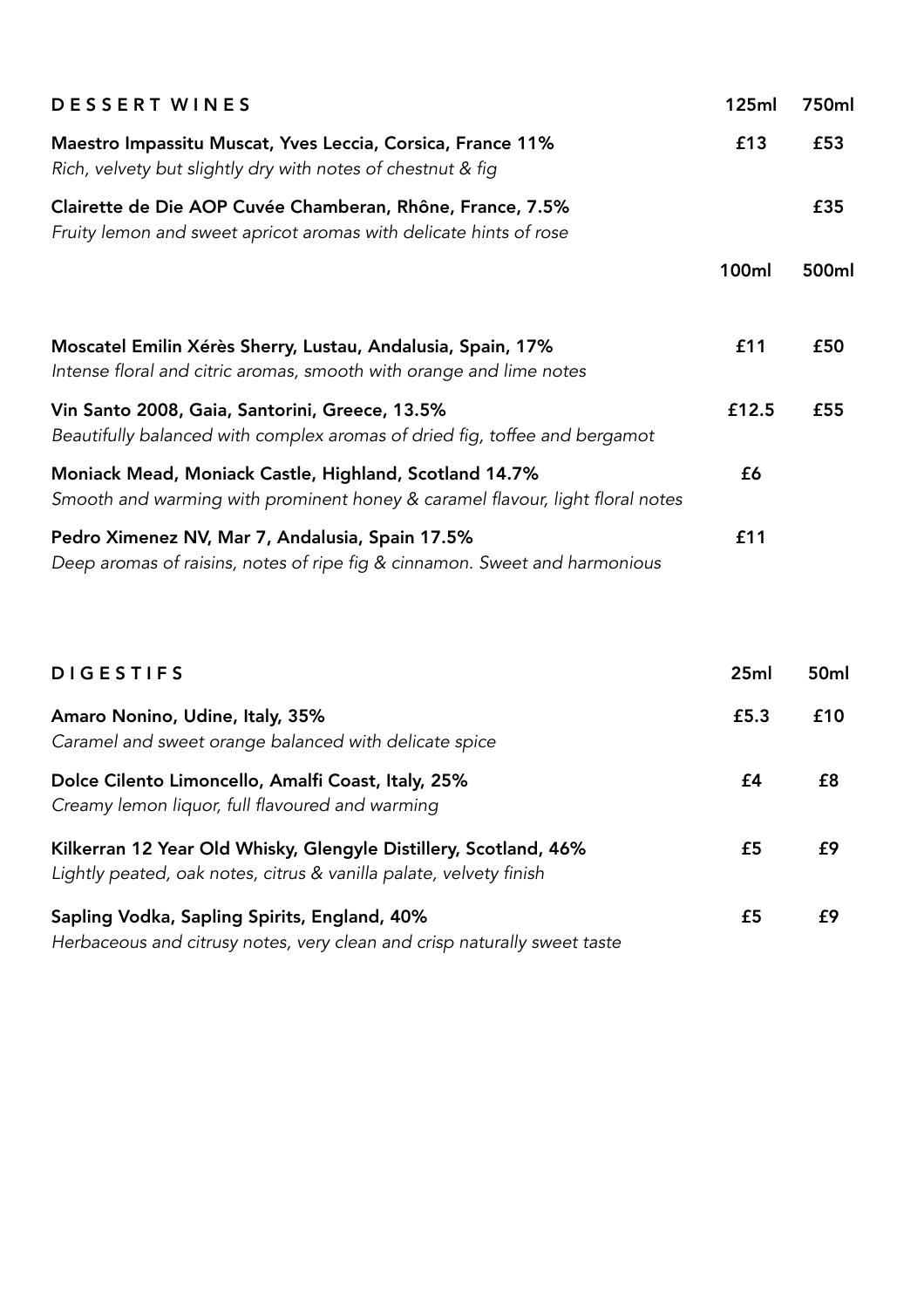| <b>DESSERT WINES</b>                                                                                                                    | 125ml        | 750ml |
|-----------------------------------------------------------------------------------------------------------------------------------------|--------------|-------|
| Maestro Impassitu Muscat, Yves Leccia, Corsica, France 11%<br>Rich, velvety but slightly dry with notes of chestnut & fig               | £13          | £53   |
| Clairette de Die AOP Cuvée Chamberan, Rhône, France, 7.5%<br>Fruity lemon and sweet apricot aromas with delicate hints of rose          |              | £35   |
|                                                                                                                                         | <b>100ml</b> | 500ml |
| Moscatel Emilin Xérès Sherry, Lustau, Andalusia, Spain, 17%<br>Intense floral and citric aromas, smooth with orange and lime notes      | £11          | £50   |
| Vin Santo 2008, Gaia, Santorini, Greece, 13.5%<br>Beautifully balanced with complex aromas of dried fig, toffee and bergamot            | £12.5        | £55   |
| Moniack Mead, Moniack Castle, Highland, Scotland 14.7%<br>Smooth and warming with prominent honey & caramel flavour, light floral notes | £6           |       |
| Pedro Ximenez NV, Mar 7, Andalusia, Spain 17.5%<br>Deep aromas of raisins, notes of ripe fig & cinnamon. Sweet and harmonious           | £11          |       |

| <b>DIGESTIFS</b>                                                                                                                       | 25ml | 50 <sub>ml</sub> |
|----------------------------------------------------------------------------------------------------------------------------------------|------|------------------|
| Amaro Nonino, Udine, Italy, 35%<br>Caramel and sweet orange balanced with delicate spice                                               | £5.3 | £10              |
| Dolce Cilento Limoncello, Amalfi Coast, Italy, 25%<br>Creamy lemon liquor, full flavoured and warming                                  | £4   | £8               |
| Kilkerran 12 Year Old Whisky, Glengyle Distillery, Scotland, 46%<br>Lightly peated, oak notes, citrus & vanilla palate, velvety finish | £5   | f9               |
| Sapling Vodka, Sapling Spirits, England, 40%<br>Herbaceous and citrusy notes, very clean and crisp naturally sweet taste               | £5   | f9               |